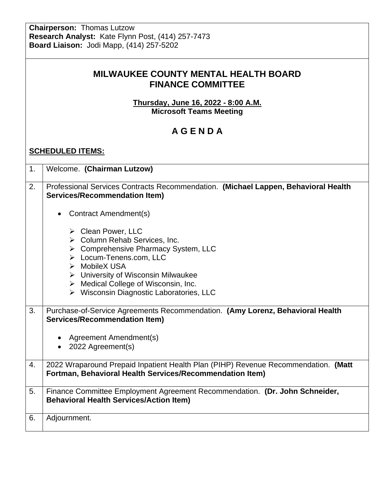**Chairperson:** Thomas Lutzow **Research Analyst:** Kate Flynn Post, (414) 257-7473 **Board Liaison:** Jodi Mapp, (414) 257-5202

| <b>MILWAUKEE COUNTY MENTAL HEALTH BOARD</b> |  |
|---------------------------------------------|--|
| <b>FINANCE COMMITTEE</b>                    |  |

**Thursday, June 16, 2022 - 8:00 A.M. Microsoft Teams Meeting**

## **A G E N D A**

#### **SCHEDULED ITEMS:**

| 1. | Welcome. (Chairman Lutzow)                                                                                                                                                                                                                                                                                      |
|----|-----------------------------------------------------------------------------------------------------------------------------------------------------------------------------------------------------------------------------------------------------------------------------------------------------------------|
| 2. | Professional Services Contracts Recommendation. (Michael Lappen, Behavioral Health<br><b>Services/Recommendation Item)</b>                                                                                                                                                                                      |
|    | <b>Contract Amendment(s)</b><br>$\bullet$                                                                                                                                                                                                                                                                       |
|    | > Clean Power, LLC<br>$\triangleright$ Column Rehab Services, Inc.<br>> Comprehensive Pharmacy System, LLC<br>> Locum-Tenens.com, LLC<br>> MobileX USA<br>$\triangleright$ University of Wisconsin Milwaukee<br>$\triangleright$ Medical College of Wisconsin, Inc.<br>▶ Wisconsin Diagnostic Laboratories, LLC |
| 3. |                                                                                                                                                                                                                                                                                                                 |
|    | Purchase-of-Service Agreements Recommendation. (Amy Lorenz, Behavioral Health<br><b>Services/Recommendation Item)</b>                                                                                                                                                                                           |
|    | Agreement Amendment(s)<br>$\bullet$<br>• 2022 Agreement(s)                                                                                                                                                                                                                                                      |
| 4. | 2022 Wraparound Prepaid Inpatient Health Plan (PIHP) Revenue Recommendation. (Matt<br>Fortman, Behavioral Health Services/Recommendation Item)                                                                                                                                                                  |
| 5. | Finance Committee Employment Agreement Recommendation. (Dr. John Schneider,<br><b>Behavioral Health Services/Action Item)</b>                                                                                                                                                                                   |
| 6. | Adjournment.                                                                                                                                                                                                                                                                                                    |
|    |                                                                                                                                                                                                                                                                                                                 |